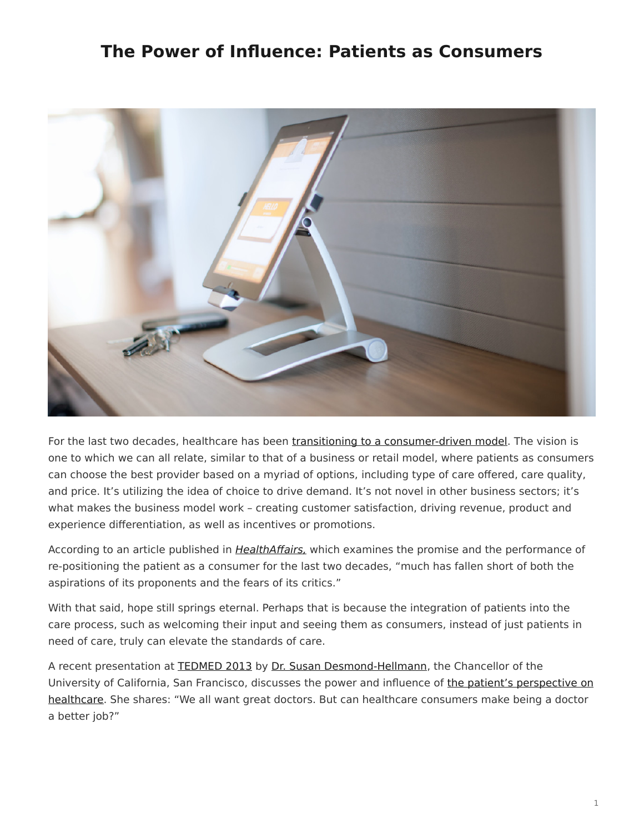## <span id="page-0-0"></span>**The Power of Influence: Patients as Consumers**



For the last two decades, healthcare has been [transitioning to a consumer-driven model.](http://content.healthaffairs.org/content/28/2/w272.full?sid=a40ca714-6826-4670-9deb-e041ab6fc22d) The vision is one to which we can all relate, similar to that of a business or retail model, where patients as consumers can choose the best provider based on a myriad of options, including type of care offered, care quality, and price. It's utilizing the idea of choice to drive demand. It's not novel in other business sectors; it's what makes the business model work – creating customer satisfaction, driving revenue, product and experience differentiation, as well as incentives or promotions.

According to an article published in *HealthAffairs*, which examines the promise and the performance of re-positioning the patient as a consumer for the last two decades, "much has fallen short of both the aspirations of its proponents and the fears of its critics."

With that said, hope still springs eternal. Perhaps that is because the integration of patients into the care process, such as welcoming their input and seeing them as consumers, instead of just patients in need of care, truly can elevate the standards of care.

A recent presentation at [TEDMED 2013](http://www.tedmed.com/event/abouttheevent) by Dr. [Susan Desmond-Hellmann](http://www.tedmed.com/speakers/show?id=18046), the Chancellor of the University of California, San Francisco, discusses the power and influence of [the patient's perspective on](http://www.tedmed.com/talks/show?id=18047) [healthcare.](http://www.tedmed.com/talks/show?id=18047) She shares: "We all want great doctors. But can healthcare consumers make being a doctor a better job?"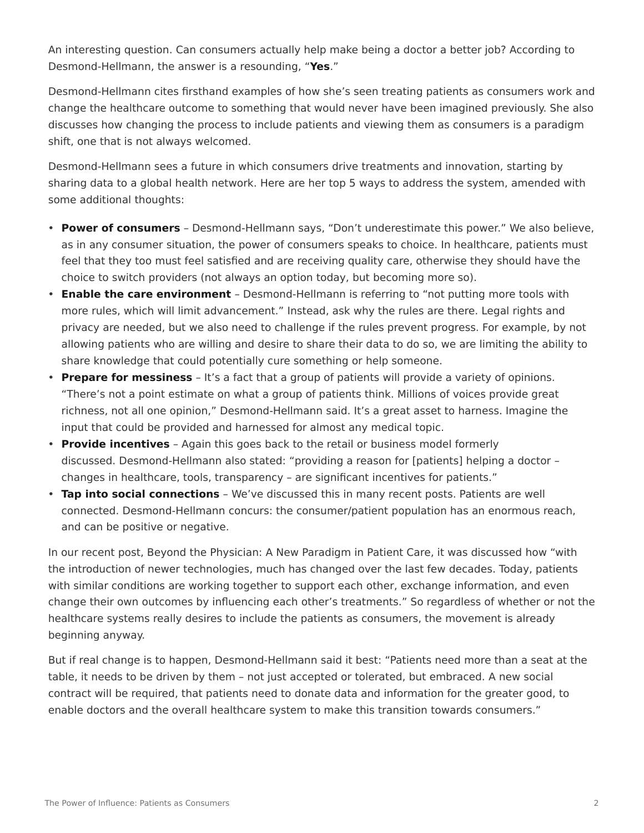An interesting question. Can consumers actually help make being a doctor a better job? According to Desmond-Hellmann, the answer is a resounding, "**Yes**."

Desmond-Hellmann cites firsthand examples of how she's seen treating patients as consumers work and change the healthcare outcome to something that would never have been imagined previously. She also discusses how changing the process to include patients and viewing them as consumers is a paradigm shift, one that is not always welcomed.

Desmond-Hellmann sees a future in which consumers drive treatments and innovation, starting by sharing data to a global health network. Here are her top 5 ways to address the system, amended with some additional thoughts:

- **Power of consumers** Desmond-Hellmann says, "Don't underestimate this power." We also believe, as in any consumer situation, the power of consumers speaks to choice. In healthcare, patients must feel that they too must feel satisfied and are receiving quality care, otherwise they should have the choice to switch providers (not always an option today, but becoming more so).
- **Enable the care environment** Desmond-Hellmann is referring to "not putting more tools with more rules, which will limit advancement." Instead, ask why the rules are there. Legal rights and privacy are needed, but we also need to challenge if the rules prevent progress. For example, by not allowing patients who are willing and desire to share their data to do so, we are limiting the ability to share knowledge that could potentially cure something or help someone.
- **Prepare for messiness** It's a fact that a group of patients will provide a variety of opinions. "There's not a point estimate on what a group of patients think. Millions of voices provide great richness, not all one opinion," Desmond-Hellmann said. It's a great asset to harness. Imagine the input that could be provided and harnessed for almost any medical topic.
- **Provide incentives** Again this goes back to the retail or business model formerly discussed. Desmond-Hellmann also stated: "providing a reason for [patients] helping a doctor – changes in healthcare, tools, transparency – are significant incentives for patients."
- **Tap into social connections** We've discussed this in many recent posts. Patients are well connected. Desmond-Hellmann concurs: the consumer/patient population has an enormous reach, and can be positive or negative.

In our recent post, Beyond the Physician: A New Paradigm in Patient Care, it was discussed how "with the introduction of newer technologies, much has changed over the last few decades. Today, patients with similar conditions are working together to support each other, exchange information, and even change their own outcomes by influencing each other's treatments." So regardless of whether or not the healthcare systems really desires to include the patients as consumers, the movement is already beginning anyway.

But if real change is to happen, Desmond-Hellmann said it best: "Patients need more than a seat at the table, it needs to be driven by them – not just accepted or tolerated, but embraced. A new social contract will be required, that patients need to donate data and information for the greater good, to enable doctors and the overall healthcare system to make this transition towards consumers."